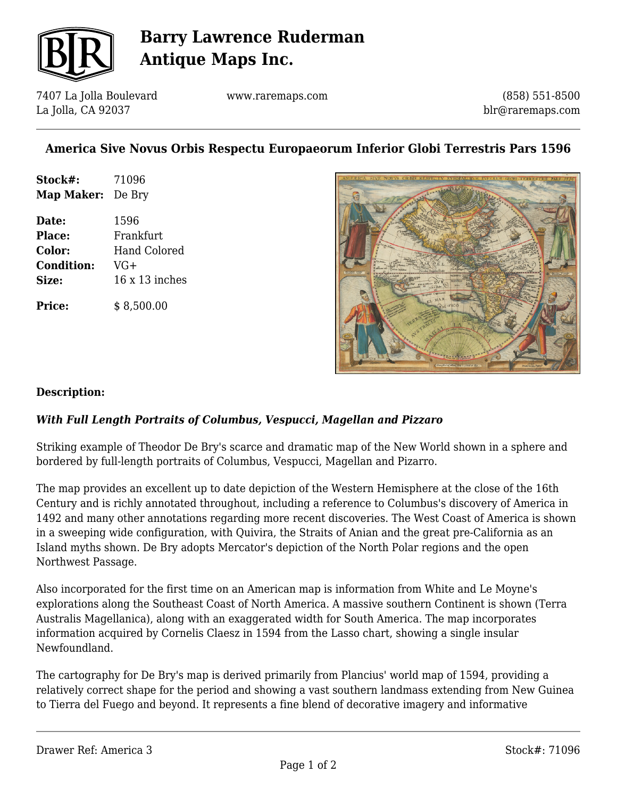

# **Barry Lawrence Ruderman Antique Maps Inc.**

7407 La Jolla Boulevard La Jolla, CA 92037

www.raremaps.com

(858) 551-8500 blr@raremaps.com

## **America Sive Novus Orbis Respectu Europaeorum Inferior Globi Terrestris Pars 1596**

| Stock#:                  | 71096 |
|--------------------------|-------|
| <b>Map Maker:</b> De Bry |       |

**Date:** 1596 **Place:** Frankfurt **Color:** Hand Colored **Condition:** VG+ **Size:** 16 x 13 inches

**Price:**  $$8.500.00$ 



#### **Description:**

### *With Full Length Portraits of Columbus, Vespucci, Magellan and Pizzaro*

Striking example of Theodor De Bry's scarce and dramatic map of the New World shown in a sphere and bordered by full-length portraits of Columbus, Vespucci, Magellan and Pizarro.

The map provides an excellent up to date depiction of the Western Hemisphere at the close of the 16th Century and is richly annotated throughout, including a reference to Columbus's discovery of America in 1492 and many other annotations regarding more recent discoveries. The West Coast of America is shown in a sweeping wide configuration, with Quivira, the Straits of Anian and the great pre-California as an Island myths shown. De Bry adopts Mercator's depiction of the North Polar regions and the open Northwest Passage.

Also incorporated for the first time on an American map is information from White and Le Moyne's explorations along the Southeast Coast of North America. A massive southern Continent is shown (Terra Australis Magellanica), along with an exaggerated width for South America. The map incorporates information acquired by Cornelis Claesz in 1594 from the Lasso chart, showing a single insular Newfoundland.

The cartography for De Bry's map is derived primarily from Plancius' world map of 1594, providing a relatively correct shape for the period and showing a vast southern landmass extending from New Guinea to Tierra del Fuego and beyond. It represents a fine blend of decorative imagery and informative